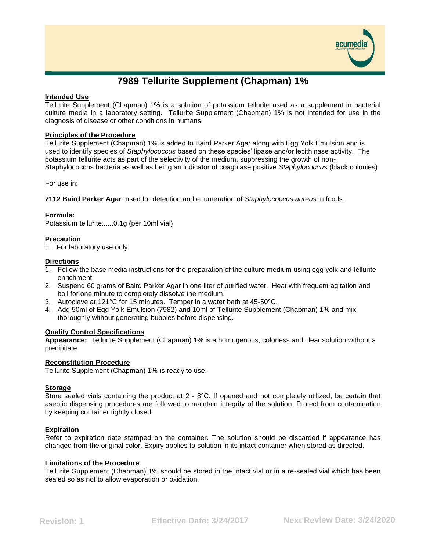

# **7989 Tellurite Supplement (Chapman) 1%**

# **Intended Use**

Tellurite Supplement (Chapman) 1% is a solution of potassium tellurite used as a supplement in bacterial culture media in a laboratory setting. Tellurite Supplement (Chapman) 1% is not intended for use in the diagnosis of disease or other conditions in humans.

# **Principles of the Procedure**

Tellurite Supplement (Chapman) 1% is added to Baird Parker Agar along with Egg Yolk Emulsion and is used to identify species of *Staphylococcus* based on these species' lipase and/or lecithinase activity. The potassium tellurite acts as part of the selectivity of the medium, suppressing the growth of non-Staphylococcus bacteria as well as being an indicator of coagulase positive *Staphylococcus* (black colonies).

For use in:

**7112 Baird Parker Agar**: used for detection and enumeration of *Staphylococcus aureus* in foods.

# **Formula:**

Potassium tellurite......0.1g (per 10ml vial)

# **Precaution**

1. For laboratory use only.

# **Directions**

- 1. Follow the base media instructions for the preparation of the culture medium using egg yolk and tellurite enrichment.
- 2. Suspend 60 grams of Baird Parker Agar in one liter of purified water. Heat with frequent agitation and boil for one minute to completely dissolve the medium.
- 3. Autoclave at 121°C for 15 minutes. Temper in a water bath at 45-50°C.
- 4. Add 50ml of Egg Yolk Emulsion (7982) and 10ml of Tellurite Supplement (Chapman) 1% and mix thoroughly without generating bubbles before dispensing.

#### **Quality Control Specifications**

**Appearance:** Tellurite Supplement (Chapman) 1% is a homogenous, colorless and clear solution without a precipitate.

#### **Reconstitution Procedure**

Tellurite Supplement (Chapman) 1% is ready to use.

#### **Storage**

Store sealed vials containing the product at 2 - 8°C. If opened and not completely utilized, be certain that aseptic dispensing procedures are followed to maintain integrity of the solution. Protect from contamination by keeping container tightly closed.

# **Expiration**

Refer to expiration date stamped on the container. The solution should be discarded if appearance has changed from the original color. Expiry applies to solution in its intact container when stored as directed.

#### **Limitations of the Procedure**

Tellurite Supplement (Chapman) 1% should be stored in the intact vial or in a re-sealed vial which has been sealed so as not to allow evaporation or oxidation.